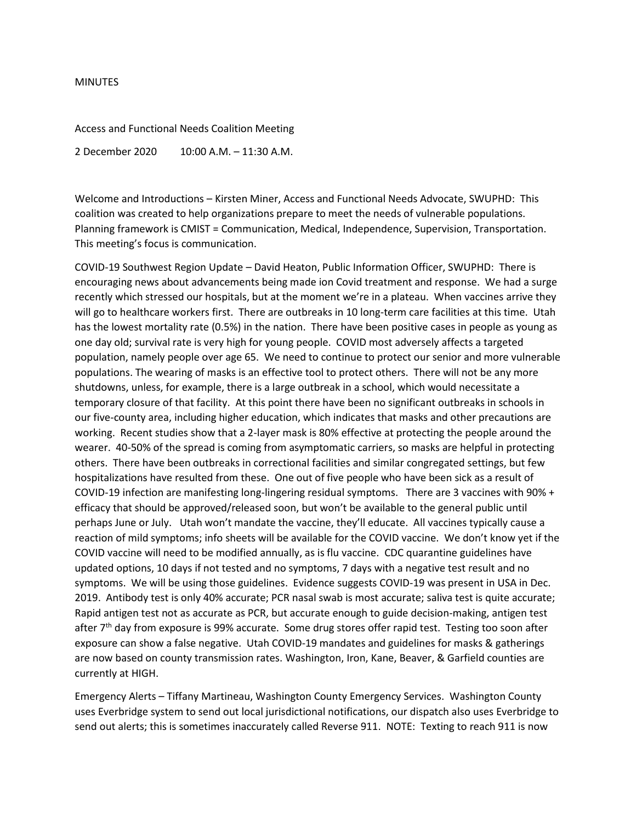## **MINUTES**

Access and Functional Needs Coalition Meeting

2 December 2020 10:00 A.M. – 11:30 A.M.

Welcome and Introductions – Kirsten Miner, Access and Functional Needs Advocate, SWUPHD: This coalition was created to help organizations prepare to meet the needs of vulnerable populations. Planning framework is CMIST = Communication, Medical, Independence, Supervision, Transportation. This meeting's focus is communication.

COVID-19 Southwest Region Update – David Heaton, Public Information Officer, SWUPHD: There is encouraging news about advancements being made ion Covid treatment and response. We had a surge recently which stressed our hospitals, but at the moment we're in a plateau. When vaccines arrive they will go to healthcare workers first. There are outbreaks in 10 long-term care facilities at this time. Utah has the lowest mortality rate (0.5%) in the nation. There have been positive cases in people as young as one day old; survival rate is very high for young people. COVID most adversely affects a targeted population, namely people over age 65. We need to continue to protect our senior and more vulnerable populations. The wearing of masks is an effective tool to protect others. There will not be any more shutdowns, unless, for example, there is a large outbreak in a school, which would necessitate a temporary closure of that facility. At this point there have been no significant outbreaks in schools in our five-county area, including higher education, which indicates that masks and other precautions are working. Recent studies show that a 2-layer mask is 80% effective at protecting the people around the wearer. 40-50% of the spread is coming from asymptomatic carriers, so masks are helpful in protecting others. There have been outbreaks in correctional facilities and similar congregated settings, but few hospitalizations have resulted from these. One out of five people who have been sick as a result of COVID-19 infection are manifesting long-lingering residual symptoms. There are 3 vaccines with 90% + efficacy that should be approved/released soon, but won't be available to the general public until perhaps June or July. Utah won't mandate the vaccine, they'll educate. All vaccines typically cause a reaction of mild symptoms; info sheets will be available for the COVID vaccine. We don't know yet if the COVID vaccine will need to be modified annually, as is flu vaccine. CDC quarantine guidelines have updated options, 10 days if not tested and no symptoms, 7 days with a negative test result and no symptoms. We will be using those guidelines. Evidence suggests COVID-19 was present in USA in Dec. 2019. Antibody test is only 40% accurate; PCR nasal swab is most accurate; saliva test is quite accurate; Rapid antigen test not as accurate as PCR, but accurate enough to guide decision-making, antigen test after 7<sup>th</sup> day from exposure is 99% accurate. Some drug stores offer rapid test. Testing too soon after exposure can show a false negative. Utah COVID-19 mandates and guidelines for masks & gatherings are now based on county transmission rates. Washington, Iron, Kane, Beaver, & Garfield counties are currently at HIGH.

Emergency Alerts – Tiffany Martineau, Washington County Emergency Services. Washington County uses Everbridge system to send out local jurisdictional notifications, our dispatch also uses Everbridge to send out alerts; this is sometimes inaccurately called Reverse 911. NOTE: Texting to reach 911 is now